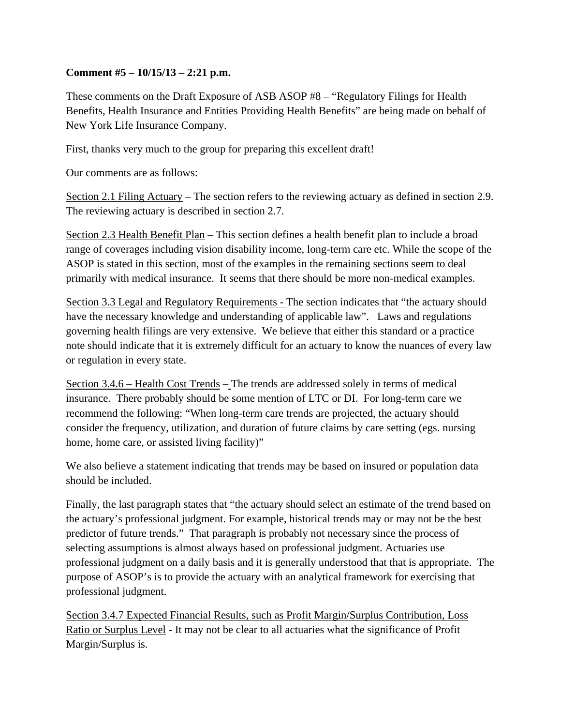## **Comment #5 – 10/15/13 – 2:21 p.m.**

These comments on the Draft Exposure of ASB ASOP #8 – "Regulatory Filings for Health Benefits, Health Insurance and Entities Providing Health Benefits" are being made on behalf of New York Life Insurance Company.

First, thanks very much to the group for preparing this excellent draft!

Our comments are as follows:

Section 2.1 Filing Actuary – The section refers to the reviewing actuary as defined in section 2.9. The reviewing actuary is described in section 2.7.

Section 2.3 Health Benefit Plan – This section defines a health benefit plan to include a broad range of coverages including vision disability income, long-term care etc. While the scope of the ASOP is stated in this section, most of the examples in the remaining sections seem to deal primarily with medical insurance. It seems that there should be more non-medical examples.

Section 3.3 Legal and Regulatory Requirements - The section indicates that "the actuary should have the necessary knowledge and understanding of applicable law". Laws and regulations governing health filings are very extensive. We believe that either this standard or a practice note should indicate that it is extremely difficult for an actuary to know the nuances of every law or regulation in every state.

Section 3.4.6 – Health Cost Trends – The trends are addressed solely in terms of medical insurance. There probably should be some mention of LTC or DI. For long-term care we recommend the following: "When long-term care trends are projected, the actuary should consider the frequency, utilization, and duration of future claims by care setting (egs. nursing home, home care, or assisted living facility)"

We also believe a statement indicating that trends may be based on insured or population data should be included.

Finally, the last paragraph states that "the actuary should select an estimate of the trend based on the actuary's professional judgment. For example, historical trends may or may not be the best predictor of future trends." That paragraph is probably not necessary since the process of selecting assumptions is almost always based on professional judgment. Actuaries use professional judgment on a daily basis and it is generally understood that that is appropriate. The purpose of ASOP's is to provide the actuary with an analytical framework for exercising that professional judgment.

Section 3.4.7 Expected Financial Results, such as Profit Margin/Surplus Contribution, Loss Ratio or Surplus Level - It may not be clear to all actuaries what the significance of Profit Margin/Surplus is.